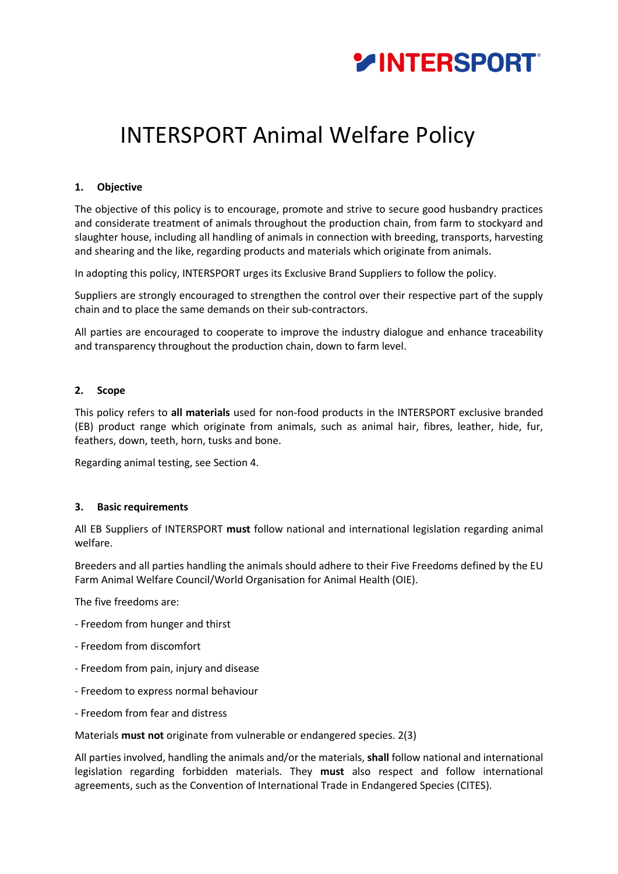

# INTERSPORT Animal Welfare Policy

# **1. Objective**

The objective of this policy is to encourage, promote and strive to secure good husbandry practices and considerate treatment of animals throughout the production chain, from farm to stockyard and slaughter house, including all handling of animals in connection with breeding, transports, harvesting and shearing and the like, regarding products and materials which originate from animals.

In adopting this policy, INTERSPORT urges its Exclusive Brand Suppliers to follow the policy.

Suppliers are strongly encouraged to strengthen the control over their respective part of the supply chain and to place the same demands on their sub-contractors.

All parties are encouraged to cooperate to improve the industry dialogue and enhance traceability and transparency throughout the production chain, down to farm level.

# **2. Scope**

This policy refers to **all materials** used for non-food products in the INTERSPORT exclusive branded (EB) product range which originate from animals, such as animal hair, fibres, leather, hide, fur, feathers, down, teeth, horn, tusks and bone.

Regarding animal testing, see Section 4.

# **3. Basic requirements**

All EB Suppliers of INTERSPORT **must** follow national and international legislation regarding animal welfare.

Breeders and all parties handling the animals should adhere to their Five Freedoms defined by the EU Farm Animal Welfare Council/World Organisation for Animal Health (OIE).

The five freedoms are:

- Freedom from hunger and thirst
- Freedom from discomfort
- Freedom from pain, injury and disease
- Freedom to express normal behaviour
- Freedom from fear and distress

Materials **must not** originate from vulnerable or endangered species. 2(3)

All parties involved, handling the animals and/or the materials, **shall** follow national and international legislation regarding forbidden materials. They **must** also respect and follow international agreements, such as the Convention of International Trade in Endangered Species (CITES).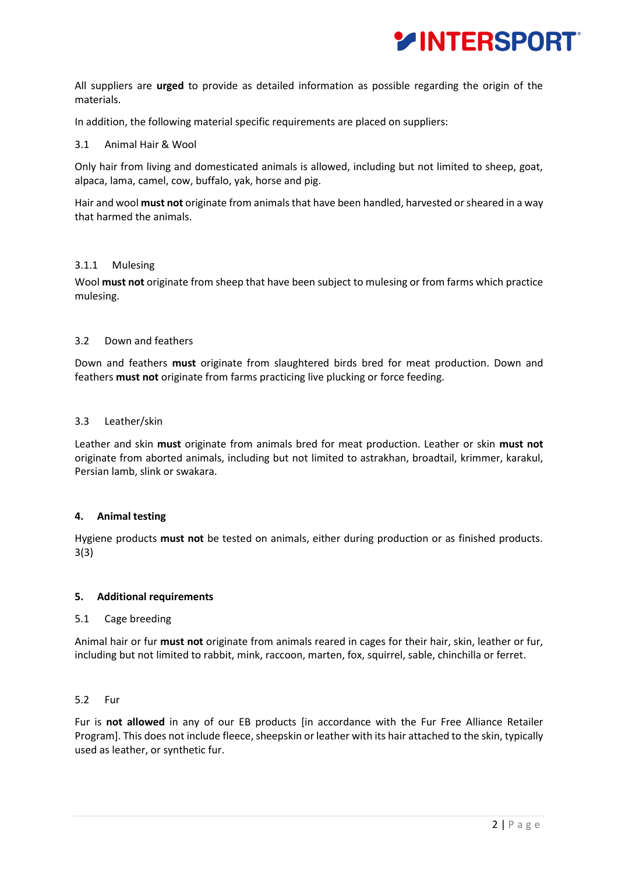

All suppliers are **urged** to provide as detailed information as possible regarding the origin of the materials.

In addition, the following material specific requirements are placed on suppliers:

## 3.1 Animal Hair & Wool

Only hair from living and domesticated animals is allowed, including but not limited to sheep, goat, alpaca, lama, camel, cow, buffalo, yak, horse and pig.

Hair and wool **must not** originate from animals that have been handled, harvested or sheared in a way that harmed the animals.

## 3.1.1 Mulesing

Wool **must not** originate from sheep that have been subject to mulesing or from farms which practice mulesing.

## 3.2 Down and feathers

Down and feathers **must** originate from slaughtered birds bred for meat production. Down and feathers **must not** originate from farms practicing live plucking or force feeding.

## 3.3 Leather/skin

Leather and skin **must** originate from animals bred for meat production. Leather or skin **must not**  originate from aborted animals, including but not limited to astrakhan, broadtail, krimmer, karakul, Persian lamb, slink or swakara.

# **4. Animal testing**

Hygiene products **must not** be tested on animals, either during production or as finished products. 3(3)

#### **5. Additional requirements**

#### 5.1 Cage breeding

Animal hair or fur **must not** originate from animals reared in cages for their hair, skin, leather or fur, including but not limited to rabbit, mink, raccoon, marten, fox, squirrel, sable, chinchilla or ferret.

#### 5.2 Fur

Fur is **not allowed** in any of our EB products [in accordance with the Fur Free Alliance Retailer Program]. This does not include fleece, sheepskin or leather with its hair attached to the skin, typically used as leather, or synthetic fur.